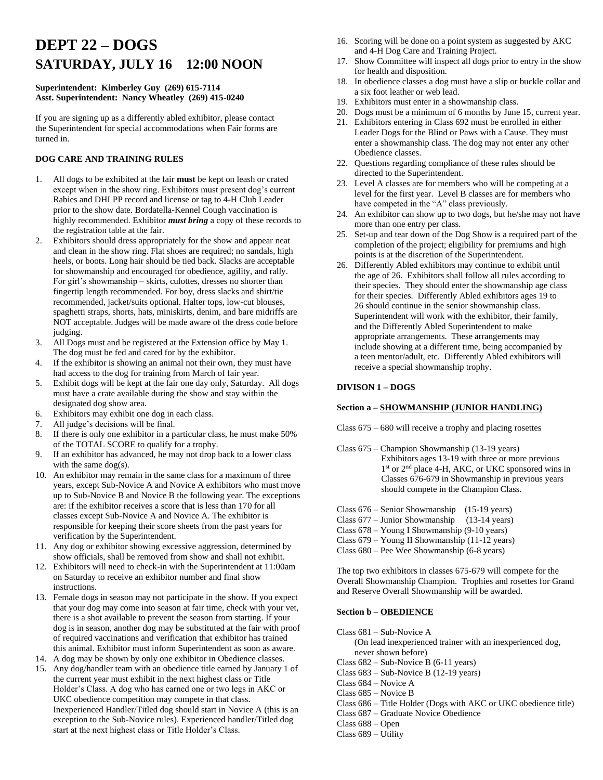# **DEPT 22 – DOGS SATURDAY, JULY 16 12:00 NOON**

## **Superintendent: Kimberley Guy (269) 615-7114 Asst. Superintendent: Nancy Wheatley (269) 415-0240**

If you are signing up as a differently abled exhibitor, please contact the Superintendent for special accommodations when Fair forms are turned in.

# **DOG CARE AND TRAINING RULES**

- 1. All dogs to be exhibited at the fair **must** be kept on leash or crated except when in the show ring. Exhibitors must present dog's current Rabies and DHLPP record and license or tag to 4-H Club Leader prior to the show date. Bordatella-Kennel Cough vaccination is highly recommended. Exhibitor *must bring* a copy of these records to the registration table at the fair.
- 2. Exhibitors should dress appropriately for the show and appear neat and clean in the show ring. Flat shoes are required; no sandals, high heels, or boots. Long hair should be tied back. Slacks are acceptable for showmanship and encouraged for obedience, agility, and rally. For girl's showmanship – skirts, culottes, dresses no shorter than fingertip length recommended. For boy, dress slacks and shirt/tie recommended, jacket/suits optional. Halter tops, low-cut blouses, spaghetti straps, shorts, hats, miniskirts, denim, and bare midriffs are NOT acceptable. Judges will be made aware of the dress code before judging.
- 3. All Dogs must and be registered at the Extension office by May 1. The dog must be fed and cared for by the exhibitor.
- 4. If the exhibitor is showing an animal not their own, they must have had access to the dog for training from March of fair year.
- 5. Exhibit dogs will be kept at the fair one day only, Saturday. All dogs must have a crate available during the show and stay within the designated dog show area.
- 6. Exhibitors may exhibit one dog in each class.
- 7. All judge's decisions will be final.
- 8. If there is only one exhibitor in a particular class, he must make 50% of the TOTAL SCORE to qualify for a trophy.
- 9. If an exhibitor has advanced, he may not drop back to a lower class with the same dog(s).
- 10. An exhibitor may remain in the same class for a maximum of three years, except Sub-Novice A and Novice A exhibitors who must move up to Sub-Novice B and Novice B the following year. The exceptions are: if the exhibitor receives a score that is less than 170 for all classes except Sub-Novice A and Novice A. The exhibitor is responsible for keeping their score sheets from the past years for verification by the Superintendent.
- 11. Any dog or exhibitor showing excessive aggression, determined by show officials, shall be removed from show and shall not exhibit.
- 12. Exhibitors will need to check-in with the Superintendent at 11:00am on Saturday to receive an exhibitor number and final show instructions.
- 13. Female dogs in season may not participate in the show. If you expect that your dog may come into season at fair time, check with your vet, there is a shot available to prevent the season from starting. If your dog is in season, another dog may be substituted at the fair with proof of required vaccinations and verification that exhibitor has trained this animal. Exhibitor must inform Superintendent as soon as aware.
- 14. A dog may be shown by only one exhibitor in Obedience classes.
- 15. Any dog/handler team with an obedience title earned by January 1 of the current year must exhibit in the next highest class or Title Holder's Class. A dog who has earned one or two legs in AKC or UKC obedience competition may compete in that class. Inexperienced Handler/Titled dog should start in Novice A (this is an exception to the Sub-Novice rules). Experienced handler/Titled dog start at the next highest class or Title Holder's Class.
- 16. Scoring will be done on a point system as suggested by AKC and 4-H Dog Care and Training Project.
- 17. Show Committee will inspect all dogs prior to entry in the show for health and disposition.
- 18. In obedience classes a dog must have a slip or buckle collar and a six foot leather or web lead.
- 19. Exhibitors must enter in a showmanship class.
- 20. Dogs must be a minimum of 6 months by June 15, current year.
- 21. Exhibitors entering in Class 692 must be enrolled in either Leader Dogs for the Blind or Paws with a Cause. They must enter a showmanship class. The dog may not enter any other Obedience classes.
- 22. Questions regarding compliance of these rules should be directed to the Superintendent.
- 23. Level A classes are for members who will be competing at a level for the first year. Level B classes are for members who have competed in the "A" class previously.
- 24. An exhibitor can show up to two dogs, but he/she may not have more than one entry per class.
- 25. Set-up and tear down of the Dog Show is a required part of the completion of the project; eligibility for premiums and high points is at the discretion of the Superintendent.
- 26. Differently Abled exhibitors may continue to exhibit until the age of 26. Exhibitors shall follow all rules according to their species. They should enter the showmanship age class for their species. Differently Abled exhibitors ages 19 to 26 should continue in the senior showmanship class. Superintendent will work with the exhibitor, their family, and the Differently Abled Superintendent to make appropriate arrangements. These arrangements may include showing at a different time, being accompanied by a teen mentor/adult, etc. Differently Abled exhibitors will receive a special showmanship trophy.

#### **DIVISON 1 – DOGS**

#### **Section a – SHOWMANSHIP (JUNIOR HANDLING)**

Class 675 – 680 will receive a trophy and placing rosettes

Class 675 – Champion Showmanship (13-19 years) Exhibitors ages 13-19 with three or more previous 1 1<sup>st</sup> or 2<sup>nd</sup> place 4-H, AKC, or UKC sponsored wins in Classes 676-679 in Showmanship in previous years should compete in the Champion Class.

- Class 676 Senior Showmanship (15-19 years)
- Class 677 Junior Showmanship (13-14 years)
- Class 678 Young I Showmanship (9-10 years)
- Class 679 Young II Showmanship (11-12 years)
- Class 680 Pee Wee Showmanship (6-8 years)

The top two exhibitors in classes 675-679 will compete for the Overall Showmanship Champion. Trophies and rosettes for Grand and Reserve Overall Showmanship will be awarded.

#### **Section b – OBEDIENCE**

Class 681 – Sub-Novice A

(On lead inexperienced trainer with an inexperienced dog, never shown before)

- Class 682 Sub-Novice B (6-11 years)
- Class 683 Sub-Novice B (12-19 years)
- Class 684 Novice A
- Class 685 Novice B
- Class 686 Title Holder (Dogs with AKC or UKC obedience title)
- Class 687 Graduate Novice Obedience
- Class 688 Open
- Class 689 Utility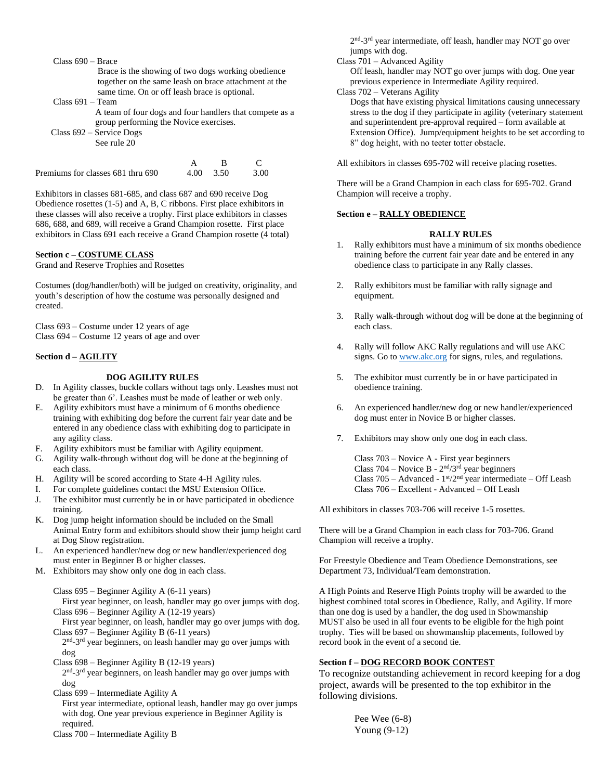| $Class 690 - Brace$<br>Brace is the showing of two dogs working obedience<br>together on the same leash on brace attachment at the<br>same time. On or off leash brace is optional.<br>$Class 691 - Team$<br>A team of four dogs and four handlers that compete as a<br>group performing the Novice exercises.<br>Class $692$ – Service Dogs<br>See rule 20 |             |           |                   |  |
|-------------------------------------------------------------------------------------------------------------------------------------------------------------------------------------------------------------------------------------------------------------------------------------------------------------------------------------------------------------|-------------|-----------|-------------------|--|
| Premiums for classes 681 thru 690                                                                                                                                                                                                                                                                                                                           | A<br>4 ()() | в<br>3.50 | $\subset$<br>3.00 |  |

Exhibitors in classes 681-685, and class 687 and 690 receive Dog Obedience rosettes (1-5) and A, B, C ribbons. First place exhibitors in these classes will also receive a trophy. First place exhibitors in classes 686, 688, and 689, will receive a Grand Champion rosette. First place exhibitors in Class 691 each receive a Grand Champion rosette (4 total)

# **Section c – COSTUME CLASS**

Grand and Reserve Trophies and Rosettes

Costumes (dog/handler/both) will be judged on creativity, originality, and youth's description of how the costume was personally designed and created.

Class 693 – Costume under 12 years of age Class 694 – Costume 12 years of age and over

#### **Section d – AGILITY**

#### **DOG AGILITY RULES**

- D. In Agility classes, buckle collars without tags only. Leashes must not be greater than 6'. Leashes must be made of leather or web only.
- E. Agility exhibitors must have a minimum of 6 months obedience training with exhibiting dog before the current fair year date and be entered in any obedience class with exhibiting dog to participate in any agility class.
- F. Agility exhibitors must be familiar with Agility equipment.
- G. Agility walk-through without dog will be done at the beginning of each class.
- H. Agility will be scored according to State 4-H Agility rules.
- I. For complete guidelines contact the MSU Extension Office.
- J. The exhibitor must currently be in or have participated in obedience training.
- K. Dog jump height information should be included on the Small Animal Entry form and exhibitors should show their jump height card at Dog Show registration.
- L. An experienced handler/new dog or new handler/experienced dog must enter in Beginner B or higher classes.
- M. Exhibitors may show only one dog in each class.

Class 695 – Beginner Agility A (6-11 years)

 First year beginner, on leash, handler may go over jumps with dog. Class 696 – Beginner Agility A (12-19 years)

 First year beginner, on leash, handler may go over jumps with dog. Class 697 – Beginner Agility B (6-11 years)

2<sup>nd</sup>-3<sup>rd</sup> year beginners, on leash handler may go over jumps with dog

Class 698 – Beginner Agility B (12-19 years)

2<sup>nd</sup>-3<sup>rd</sup> year beginners, on leash handler may go over jumps with dog

Class 699 – Intermediate Agility A

 First year intermediate, optional leash, handler may go over jumps with dog. One year previous experience in Beginner Agility is required.

Class 700 – Intermediate Agility B

2<sup>nd</sup>-3<sup>rd</sup> year intermediate, off leash, handler may NOT go over jumps with dog.

Class 701 – Advanced Agility

 Off leash, handler may NOT go over jumps with dog. One year previous experience in Intermediate Agility required.

Class 702 – Veterans Agility

 Dogs that have existing physical limitations causing unnecessary stress to the dog if they participate in agility (veterinary statement and superintendent pre-approval required – form available at Extension Office). Jump/equipment heights to be set according to 8" dog height, with no teeter totter obstacle.

All exhibitors in classes 695-702 will receive placing rosettes.

There will be a Grand Champion in each class for 695-702. Grand Champion will receive a trophy.

# **Section e – RALLY OBEDIENCE**

## **RALLY RULES**

- 1. Rally exhibitors must have a minimum of six months obedience training before the current fair year date and be entered in any obedience class to participate in any Rally classes.
- 2. Rally exhibitors must be familiar with rally signage and equipment.
- 3. Rally walk-through without dog will be done at the beginning of each class.
- 4. Rally will follow AKC Rally regulations and will use AKC signs. Go to **www.akc.org** for signs, rules, and regulations.
- 5. The exhibitor must currently be in or have participated in obedience training.
- 6. An experienced handler/new dog or new handler/experienced dog must enter in Novice B or higher classes.
- 7. Exhibitors may show only one dog in each class.

Class 703 – Novice A - First year beginners Class  $704$  – Novice B -  $2<sup>nd</sup>/3<sup>rd</sup>$  year beginners Class  $705 -$  Advanced -  $1<sup>st</sup>/2<sup>nd</sup>$  year intermediate - Off Leash Class 706 – Excellent - Advanced – Off Leash

All exhibitors in classes 703-706 will receive 1-5 rosettes.

There will be a Grand Champion in each class for 703-706. Grand Champion will receive a trophy.

For Freestyle Obedience and Team Obedience Demonstrations, see Department 73, Individual/Team demonstration.

A High Points and Reserve High Points trophy will be awarded to the highest combined total scores in Obedience, Rally, and Agility. If more than one dog is used by a handler, the dog used in Showmanship MUST also be used in all four events to be eligible for the high point trophy. Ties will be based on showmanship placements, followed by record book in the event of a second tie.

#### **Section f – DOG RECORD BOOK CONTEST**

To recognize outstanding achievement in record keeping for a dog project, awards will be presented to the top exhibitor in the following divisions.

> Pee Wee (6-8) Young (9-12)